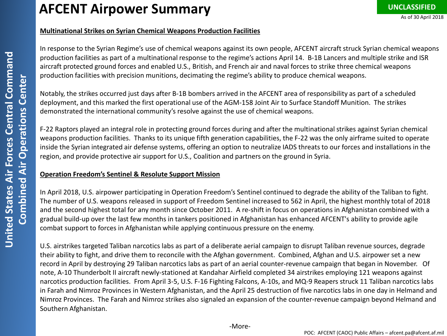### **Multinational Strikes on Syrian Chemical Weapons Production Facilities**

In response to the Syrian Regime's use of chemical weapons against its own people, AFCENT aircraft struck Syrian chemical weapons production facilities as part of a multinational response to the regime's actions April 14. B-1B Lancers and multiple strike and ISR aircraft protected ground forces and enabled U.S., British, and French air and naval forces to strike three chemical weapons production facilities with precision munitions, decimating the regime's ability to produce chemical weapons.

Notably, the strikes occurred just days after B-1B bombers arrived in the AFCENT area of responsibility as part of a scheduled deployment, and this marked the first operational use of the AGM-158 Joint Air to Surface Standoff Munition. The strikes demonstrated the international community's resolve against the use of chemical weapons.

F-22 Raptors played an integral role in protecting ground forces during and after the multinational strikes against Syrian chemical weapons production facilities. Thanks to its unique fifth generation capabilities, the F-22 was the only airframe suited to operate inside the Syrian integrated air defense systems, offering an option to neutralize IADS threats to our forces and installations in the region, and provide protective air support for U.S., Coalition and partners on the ground in Syria.

## **Operation Freedom's Sentinel & Resolute Support Mission**

In April 2018, U.S. airpower participating in Operation Freedom's Sentinel continued to degrade the ability of the Taliban to fight. The number of U.S. weapons released in support of Freedom Sentinel increased to 562 in April, the highest monthly total of 2018 and the second highest total for any month since October 2011. A re-shift in focus on operations in Afghanistan combined with a gradual build-up over the last few months in tankers positioned in Afghanistan has enhanced AFCENT's ability to provide agile combat support to forces in Afghanistan while applying continuous pressure on the enemy.

U.S. airstrikes targeted Taliban narcotics labs as part of a deliberate aerial campaign to disrupt Taliban revenue sources, degrade their ability to fight, and drive them to reconcile with the Afghan government. Combined, Afghan and U.S. airpower set a new record in April by destroying 29 Taliban narcotics labs as part of an aerial counter-revenue campaign that began in November. Of note, A-10 Thunderbolt II aircraft newly-stationed at Kandahar Airfield completed 34 airstrikes employing 121 weapons against narcotics production facilities. From April 3-5, U.S. F-16 Fighting Falcons, A-10s, and MQ-9 Reapers struck 11 Taliban narcotics labs in Farah and Nimroz Provinces in Western Afghanistan, and the April 25 destruction of five narcotics labs in one day in Helmand and Nimroz Provinces. The Farah and Nimroz strikes also signaled an expansion of the counter-revenue campaign beyond Helmand and Southern Afghanistan.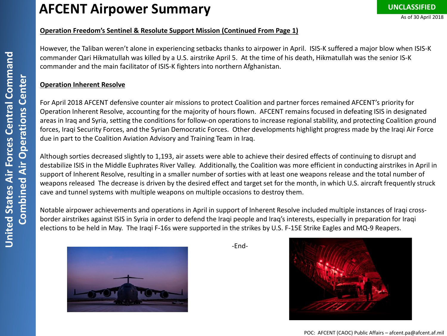# **AFCENT Airpower Summary**

#### **Operation Freedom's Sentinel & Resolute Support Mission (Continued From Page 1)**

However, the Taliban weren't alone in experiencing setbacks thanks to airpower in April. ISIS-K suffered a major blow when ISIS-K commander Qari Hikmatullah was killed by a U.S. airstrike April 5. At the time of his death, Hikmatullah was the senior IS-K commander and the main facilitator of ISIS-K fighters into northern Afghanistan.

#### **Operation Inherent Resolve**

For April 2018 AFCENT defensive counter air missions to protect Coalition and partner forces remained AFCENT's priority for Operation Inherent Resolve, accounting for the majority of hours flown. AFCENT remains focused in defeating ISIS in designated areas in Iraq and Syria, setting the conditions for follow-on operations to increase regional stability, and protecting Coalition ground forces, Iraqi Security Forces, and the Syrian Democratic Forces. Other developments highlight progress made by the Iraqi Air Force due in part to the Coalition Aviation Advisory and Training Team in Iraq.

Although sorties decreased slightly to 1,193, air assets were able to achieve their desired effects of continuing to disrupt and destabilize ISIS in the Middle Euphrates River Valley. Additionally, the Coalition was more efficient in conducting airstrikes in April in support of Inherent Resolve, resulting in a smaller number of sorties with at least one weapons release and the total number of weapons released The decrease is driven by the desired effect and target set for the month, in which U.S. aircraft frequently struck cave and tunnel systems with multiple weapons on multiple occasions to destroy them.

Notable airpower achievements and operations in April in support of Inherent Resolve included multiple instances of Iraqi crossborder airstrikes against ISIS in Syria in order to defend the Iraqi people and Iraq's interests, especially in preparation for Iraqi elections to be held in May. The Iraqi F-16s were supported in the strikes by U.S. F-15E Strike Eagles and MQ-9 Reapers.



-End-



POC: AFCENT (CAOC) Public Affairs – afcent.pa@afcent.af.mil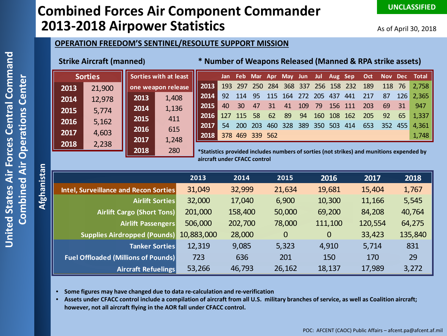# **Combined Forces Air Component Commander 2013-2018 Airpower Statistics**

**UNCLASSIFIED**

#### **OPERATION FREEDOM'S SENTINEL/RESOLUTE SUPPORT MISSION**

### **Strike Aircraft (manned)**

#### **\* Number of Weapons Released (Manned & RPA strike assets)**

| <b>Sorties</b> |        | Sorties with at least |                    |                                                                                          | Jan |            | Feb Mar Apr     |     | May Jun |     | Jul        | Aug Sep |      | Oct |     |     | Nov Dec Total |
|----------------|--------|-----------------------|--------------------|------------------------------------------------------------------------------------------|-----|------------|-----------------|-----|---------|-----|------------|---------|------|-----|-----|-----|---------------|
| 2013           | 21,900 |                       | one weapon release | $\parallel$ 2013                                                                         | 193 | 297        | <b>250</b>      | 284 | 368     | 337 | <b>256</b> | -158    | 232  | 189 | 118 | 76  | 2,758         |
| 2014           | 12,978 | 2013                  | 1,408              | 2014                                                                                     | 92  | 114        | -95             | 115 | 164     | 272 | 205        | 437     | 441  |     | 87  | 126 | 2,365         |
| 2015           | 5,774  | 2014                  | 1,136              | 2015                                                                                     | 40  | 30         | 47              | 31  | 41      | 109 | 79         | 156     | -111 | 203 | 69  | 31  | 947           |
|                |        | 2015                  | 411                | 2016                                                                                     | 127 | -115       | 58              | 62  | 89      | 94  | 160        | 108     | 162  | 205 | 92  | 65  | 1,337         |
| 2016           | 5,162  | 2016                  | 615                | 2017                                                                                     | 54. | <b>200</b> | 203             | 460 | 328     | 389 | 350        | 503     | 414  | 653 | 352 | 455 | 4,361         |
| 2017           | 4,603  |                       |                    | 2018                                                                                     |     |            | 378 469 339 562 |     |         |     |            |         |      |     |     |     | 1,748         |
| 2018           | 2,238  | 2017                  | 1,248              |                                                                                          |     |            |                 |     |         |     |            |         |      |     |     |     |               |
|                |        | 2018                  | 280                | *Statistics provided includes numbers of sorties (not strikes) and munitions expended by |     |            |                 |     |         |     |            |         |      |     |     |     |               |

**\*Statistics provided includes numbers of sorties (not strikes) and munitions expended by aircraft under CFACC control**

|                                            | 2013       | 2014    | 2015           | 2016        | 2017    | 2018    |
|--------------------------------------------|------------|---------|----------------|-------------|---------|---------|
| Intel, Surveillance and Recon Sorties      | 31,049     | 32,999  | 21,634         | 19,681      | 15,404  | 1,767   |
| <b>Airlift Sorties</b>                     | 32,000     | 17,040  | 6,900          | 10,300      | 11,166  | 5,545   |
| <b>Airlift Cargo (Short Tons)</b>          | 201,000    | 158,400 | 50,000         | 69,200      | 84,208  | 40,764  |
| Airlift Passengers                         | 506,000    | 202,700 | 78,000         | 111,100     | 120,554 | 64,275  |
| <b>Supplies Airdropped (Pounds)</b>        | 10,883,000 | 28,000  | $\overline{0}$ | $\mathbf 0$ | 33,423  | 135,840 |
| <b>Tanker Sorties</b>                      | 12,319     | 9,085   | 5,323          | 4,910       | 5,714   | 831     |
| <b>Fuel Offloaded (Millions of Pounds)</b> | 723        | 636     | 201            | 150         | 170     | 29      |
| <b>Aircraft Refuelings</b>                 | 53,266     | 46,793  | 26,162         | 18,137      | 17,989  | 3,272   |

- **Some figures may have changed due to data re-calculation and re-verification**
- **Assets under CFACC control include a compilation of aircraft from all U.S. military branches of service, as well as Coalition aircraft; however, not all aircraft flying in the AOR fall under CFACC control.**

**Afghanistan**

Afghanistan